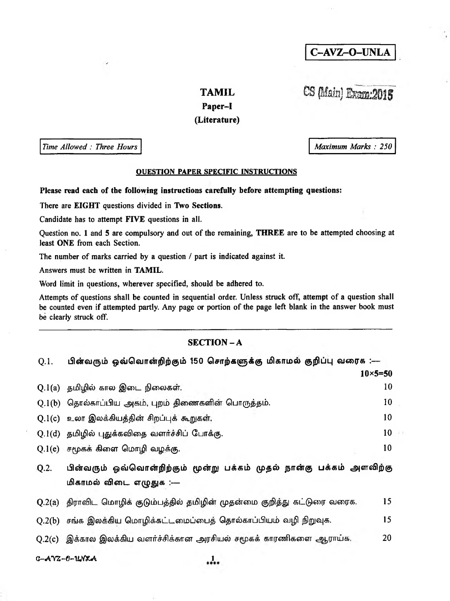C-AVZ-O-UNLA

# **TAMIL**

# CS (Main) Exemp:2015

Maximum Marks: 250

### Paper-I

## (Literature)

Time Allowed: Three Hours

#### **OUESTION PAPER SPECIFIC INSTRUCTIONS**

Please read each of the following instructions carefully before attempting questions:

There are EIGHT questions divided in Two Sections.

Candidate has to attempt FIVE questions in all.

Question no. 1 and 5 are compulsory and out of the remaining, THREE are to be attempted choosing at least ONE from each Section.

The number of marks carried by a question / part is indicated against it.

Answers must be written in TAMIL.

Word limit in questions, wherever specified, should be adhered to.

Attempts of questions shall be counted in sequential order. Unless struck off, attempt of a question shall be counted even if attempted partly. Any page or portion of the page left blank in the answer book must be clearly struck off.

### **SECTION-A**

| Q.1.   | பின்வரும் ஒவ்வொன்றிற்கும் 150 சொற்களுக்கு மிகாமல் குறிப்பு வரைக :—                               |  |
|--------|--------------------------------------------------------------------------------------------------|--|
|        | $10 \times 5 = 50$                                                                               |  |
|        | 10<br>Q.1(a) தமிழில் கால இடை நிலைகள்.                                                            |  |
|        | 10<br>$Q.1(b)$ தொல்காப்பிய அகம், புறம் திணைகளின் பொருத்தம்.                                      |  |
| Q.1(c) | 10<br>உலா இலக்கியத்தின் சிறப்புக் கூறுகள்.                                                       |  |
|        | 10<br>Q.1(d) தமிழில் புதுக்கவிதை வளர்ச்சிப் போக்கு.                                              |  |
|        | 10<br>$Q.1(e)$ சமூகக் கிளை மொழி வழக்கு.                                                          |  |
| Q.2.   | பின்வரும் ஒவ்வொன்றிற்கும் மூன்று பக்கம் முதல் நான்கு பக்கம் அளவிற்கு<br>மிகாமல் விடை எழுதுக :--- |  |
|        | 15<br>Q.2(a) திராவிட மொழிக் குடும்பத்தில் தமிழின் முதன்மை குறித்து கட்டுரை வரைக.                 |  |
|        | Q.2(b) சங்க இலக்கிய மொழிக்கட்டமைப்பைத் தொல்காப்பியம் வழி நிறுவுக.<br>15                          |  |
|        | Q.2(c) இக்கால இலக்கிய வளர்ச்சிக்கான அரசியல் சமூகக் காரணிகளை ஆராய்க.<br>20                        |  |
|        | $C-AYZ-C-UNXA$                                                                                   |  |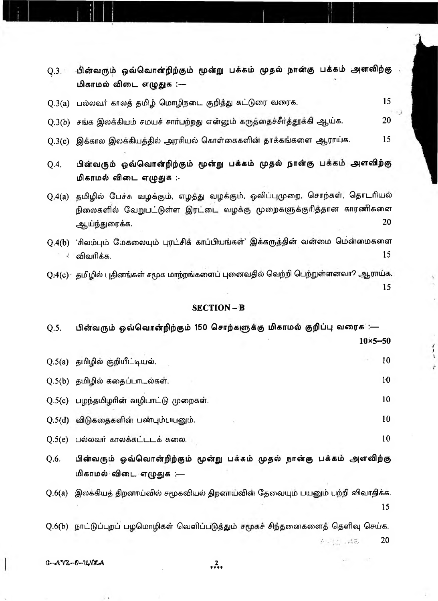| Q.3(a)       | 15<br>பல்லவர் காலத் தமிழ் மொழிநடை குறித்து கட்டுரை வரைக.                                                                                                            |  |  |
|--------------|---------------------------------------------------------------------------------------------------------------------------------------------------------------------|--|--|
| Q.3(b)       | 20<br>சங்க இலக்கியம் சமயச் சார்பற்றது என்னும் கருத்தைச்சீர்த்தூக்கி ஆய்க.                                                                                           |  |  |
| Q.3(c)       | 15<br>இக்கால இலக்கியத்தில் அரசியல் கொள்கைகளின் தாக்கங்களை ஆராய்க.                                                                                                   |  |  |
| Q.4.         | பின்வரும் ஒவ்வொன்றிற்கும் மூன்று பக்கம் முதல் நான்கு பக்கம் அளவிற்கு<br>மிகாமல் விடை எழுதுக :---                                                                    |  |  |
| Q.4(a)       | தமிழில் பேச்சு வழக்கும், எழத்து வழக்கும், ஓலிப்புமுறை, சொற்கள், தொடரியல்<br>நிலைகளில் வேறுபட்டுள்ள இரட்டை வழக்கு முறைகளுக்குரித்தான காரணிகளை<br>20<br>ஆய்ந்துரைக்க. |  |  |
| Q.4(b)<br>Ť. | 'சிலம்பும் மேகலையும் புரட்சிக் காப்பியங்கள்' இக்கருத்தின் வன்மை மென்மைகளை<br>15<br>விவரிக்க.                                                                        |  |  |
|              | $\rm Q$ :4(c) தமிழில் புதினங்கள் சமூக மாற்றங்களைப் புனைவதில் வெற்றி பெற்றுள்ளனவா? ஆராய்க.<br>15                                                                     |  |  |
|              | <b>SECTION-B</b>                                                                                                                                                    |  |  |
| Q.5.         | பின்வரும் ஒவ்வொன்றிற்கும் 150 சொற்களுக்கு மிகாமல் குறிப்பு வரைக :—                                                                                                  |  |  |
|              | $10\times 5 = 50$                                                                                                                                                   |  |  |
|              | 10<br>Q.5(a) தமிழில் குறியீட்டியல்.                                                                                                                                 |  |  |
|              | 10<br>Q.5(b) தமிழில் கதைப்பாடல்கள்.                                                                                                                                 |  |  |
|              | 10<br>Q.5(c) பழந்தமிழரின் வழிபாட்டு முறைகள்.                                                                                                                        |  |  |
| Q.5(d)       | 10<br>விடுகதைகளின் பண்பும்பயனும்.                                                                                                                                   |  |  |
| Q.5(e)       | 10<br>பல்லவர் காலக்கட்டடக் கலை.                                                                                                                                     |  |  |
| Q.6.         | பின்வரும் ஒவ்வொன்றிற்கும் மூன்று பக்கம் முதல் நான்கு பக்கம் அளவிற்கு<br>மிகாமல் விடை எழுதுக :—                                                                      |  |  |
| Q.6(a)       | இலக்கியத் திறனாய்வில் சமூகவியல் திறனாய்வின் தேவையும் பயனும் பற்றி விவாதிக்க.<br>15                                                                                  |  |  |
|              | Q.6(b) நாட்டுப்புறப் பழமொழிகள் வெளிப்படுத்தும் சமூகச் சிந்தனைகளைத் தெளிவு செய்க.<br>20<br>新闻题 以降数                                                                   |  |  |

Q.3. பின்வரும் ஒவ்வொன்றிற்கும் மூன்று பக்கம் முதல் நான்கு பக்கம் அளவிற்கு . மிகாமல் விடை எழுதுக :—

٠,

i.

 $C - A VZ - 0 - U_0 N Z A$ 

 $^{2}_{***}$